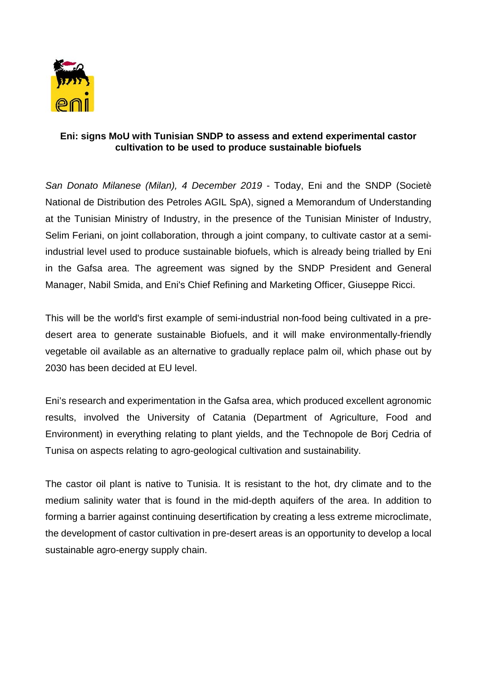

## **Eni: signs MoU with Tunisian SNDP to assess and extend experimental castor cultivation to be used to produce sustainable biofuels**

*San Donato Milanese (Milan), 4 December 2019* - Today, Eni and the SNDP (Societè National de Distribution des Petroles AGIL SpA), signed a Memorandum of Understanding at the Tunisian Ministry of Industry, in the presence of the Tunisian Minister of Industry, Selim Feriani, on joint collaboration, through a joint company, to cultivate castor at a semiindustrial level used to produce sustainable biofuels, which is already being trialled by Eni in the Gafsa area. The agreement was signed by the SNDP President and General Manager, Nabil Smida, and Eni's Chief Refining and Marketing Officer, Giuseppe Ricci.

This will be the world's first example of semi-industrial non-food being cultivated in a predesert area to generate sustainable Biofuels, and it will make environmentally-friendly vegetable oil available as an alternative to gradually replace palm oil, which phase out by 2030 has been decided at EU level.

Eni's research and experimentation in the Gafsa area, which produced excellent agronomic results, involved the University of Catania (Department of Agriculture, Food and Environment) in everything relating to plant yields, and the Technopole de Borj Cedria of Tunisa on aspects relating to agro-geological cultivation and sustainability.

The castor oil plant is native to Tunisia. It is resistant to the hot, dry climate and to the medium salinity water that is found in the mid-depth aquifers of the area. In addition to forming a barrier against continuing desertification by creating a less extreme microclimate, the development of castor cultivation in pre-desert areas is an opportunity to develop a local sustainable agro-energy supply chain.